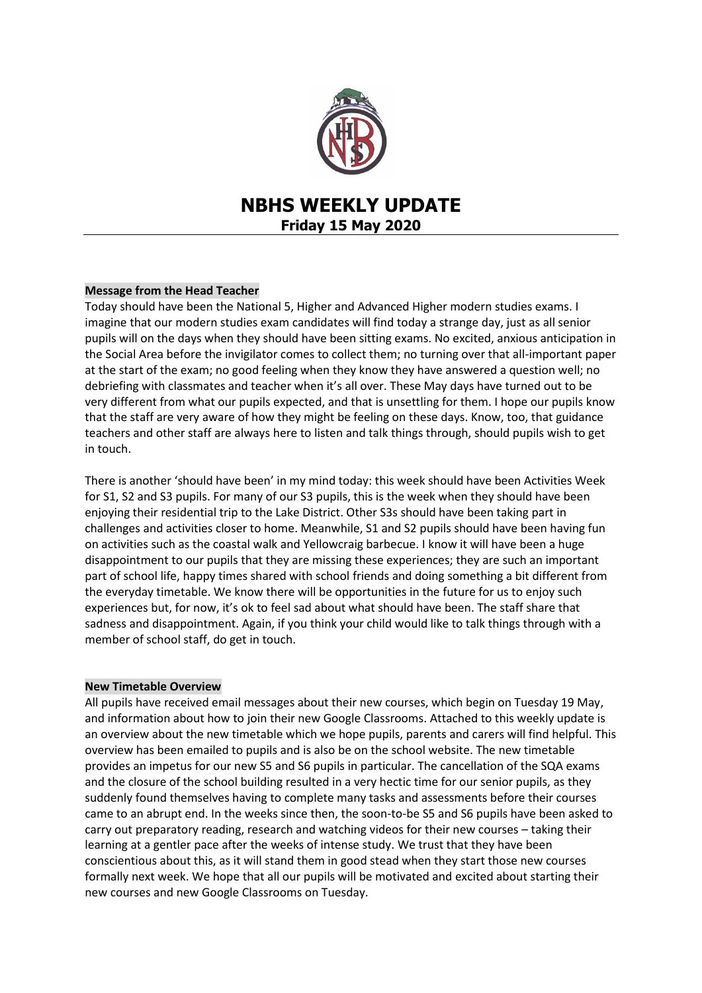

# **NBHS WEEKLY UPDATE Friday 15 May 2020**

# **Message from the Head Teacher**

Today should have been the National 5, Higher and Advanced Higher modern studies exams. I imagine that our modern studies exam candidates will find today a strange day, just as all senior pupils will on the days when they should have been sitting exams. No excited, anxious anticipation in the Social Area before the invigilator comes to collect them; no turning over that all-important paper at the start of the exam; no good feeling when they know they have answered a question well; no debriefing with classmates and teacher when it's all over. These May days have turned out to be very different from what our pupils expected, and that is unsettling for them. I hope our pupils know that the staff are very aware of how they might be feeling on these days. Know, too, that guidance teachers and other staff are always here to listen and talk things through, should pupils wish to get in touch.

There is another 'should have been' in my mind today: this week should have been Activities Week for S1, S2 and S3 pupils. For many of our S3 pupils, this is the week when they should have been enjoying their residential trip to the Lake District. Other S3s should have been taking part in challenges and activities closer to home. Meanwhile, S1 and S2 pupils should have been having fun on activities such as the coastal walk and Yellowcraig barbecue. I know it will have been a huge disappointment to our pupils that they are missing these experiences; they are such an important part of school life, happy times shared with school friends and doing something a bit different from the everyday timetable. We know there will be opportunities in the future for us to enjoy such experiences but, for now, it's ok to feel sad about what should have been. The staff share that sadness and disappointment. Again, if you think your child would like to talk things through with a member of school staff, do get in touch.

## **New Timetable Overview**

All pupils have received email messages about their new courses, which begin on Tuesday 19 May, and information about how to join their new Google Classrooms. Attached to this weekly update is an overview about the new timetable which we hope pupils, parents and carers will find helpful. This overview has been emailed to pupils and is also be on the school website. The new timetable provides an impetus for our new S5 and S6 pupils in particular. The cancellation of the SQA exams and the closure of the school building resulted in a very hectic time for our senior pupils, as they suddenly found themselves having to complete many tasks and assessments before their courses came to an abrupt end. In the weeks since then, the soon-to-be S5 and S6 pupils have been asked to carry out preparatory reading, research and watching videos for their new courses – taking their learning at a gentler pace after the weeks of intense study. We trust that they have been conscientious about this, as it will stand them in good stead when they start those new courses formally next week. We hope that all our pupils will be motivated and excited about starting their new courses and new Google Classrooms on Tuesday.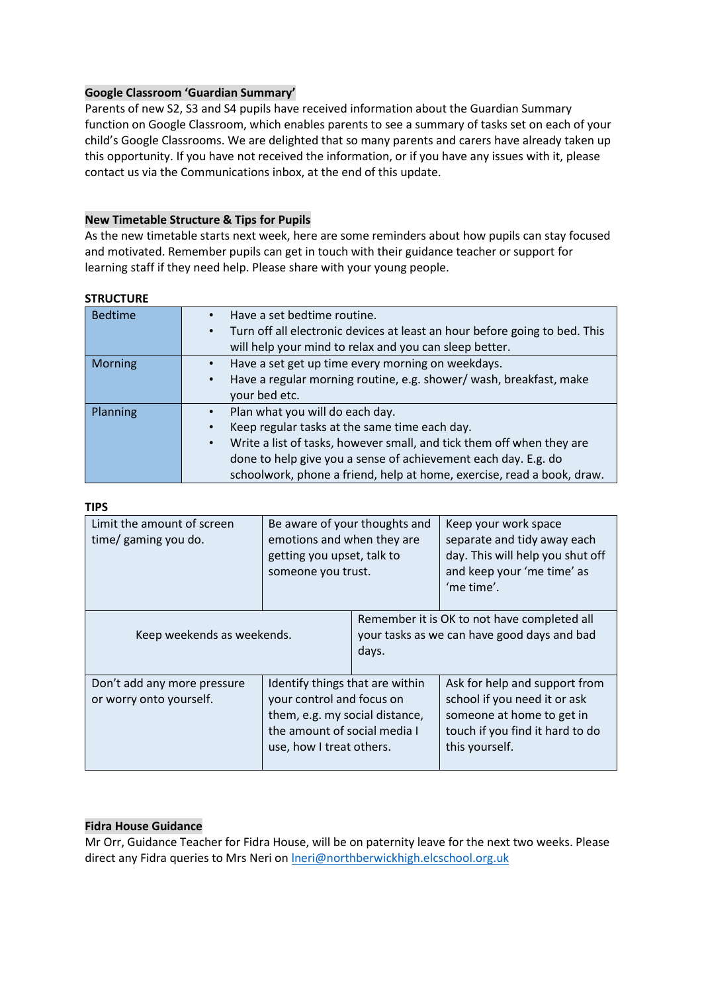## **Google Classroom 'Guardian Summary'**

Parents of new S2, S3 and S4 pupils have received information about the Guardian Summary function on Google Classroom, which enables parents to see a summary of tasks set on each of your child's Google Classrooms. We are delighted that so many parents and carers have already taken up this opportunity. If you have not received the information, or if you have any issues with it, please contact us via the Communications inbox, at the end of this update.

## **New Timetable Structure & Tips for Pupils**

As the new timetable starts next week, here are some reminders about how pupils can stay focused and motivated. Remember pupils can get in touch with their guidance teacher or support for learning staff if they need help. Please share with your young people.

| <b>Bedtime</b>  | Have a set bedtime routine.                                                             |
|-----------------|-----------------------------------------------------------------------------------------|
|                 | Turn off all electronic devices at least an hour before going to bed. This<br>$\bullet$ |
|                 | will help your mind to relax and you can sleep better.                                  |
| <b>Morning</b>  | Have a set get up time every morning on weekdays.                                       |
|                 | Have a regular morning routine, e.g. shower/ wash, breakfast, make<br>$\bullet$         |
|                 | your bed etc.                                                                           |
| <b>Planning</b> | Plan what you will do each day.                                                         |
|                 | Keep regular tasks at the same time each day.<br>$\bullet$                              |
|                 | Write a list of tasks, however small, and tick them off when they are<br>$\bullet$      |
|                 | done to help give you a sense of achievement each day. E.g. do                          |
|                 | schoolwork, phone a friend, help at home, exercise, read a book, draw.                  |

#### **STRUCTURE**

## **TIPS**

| Limit the amount of screen<br>time/ gaming you do.     | Be aware of your thoughts and<br>emotions and when they are<br>getting you upset, talk to<br>someone you trust.                                            |                                                                                                     | Keep your work space<br>separate and tidy away each<br>day. This will help you shut off<br>and keep your 'me time' as<br>'me time'.             |  |
|--------------------------------------------------------|------------------------------------------------------------------------------------------------------------------------------------------------------------|-----------------------------------------------------------------------------------------------------|-------------------------------------------------------------------------------------------------------------------------------------------------|--|
| Keep weekends as weekends.                             |                                                                                                                                                            | Remember it is OK to not have completed all<br>your tasks as we can have good days and bad<br>days. |                                                                                                                                                 |  |
| Don't add any more pressure<br>or worry onto yourself. | Identify things that are within<br>your control and focus on<br>them, e.g. my social distance,<br>the amount of social media I<br>use, how I treat others. |                                                                                                     | Ask for help and support from<br>school if you need it or ask<br>someone at home to get in<br>touch if you find it hard to do<br>this yourself. |  |

## **Fidra House Guidance**

Mr Orr, Guidance Teacher for Fidra House, will be on paternity leave for the next two weeks. Please direct any Fidra queries to Mrs Neri on Ineri@northberwickhigh.elcschool.org.uk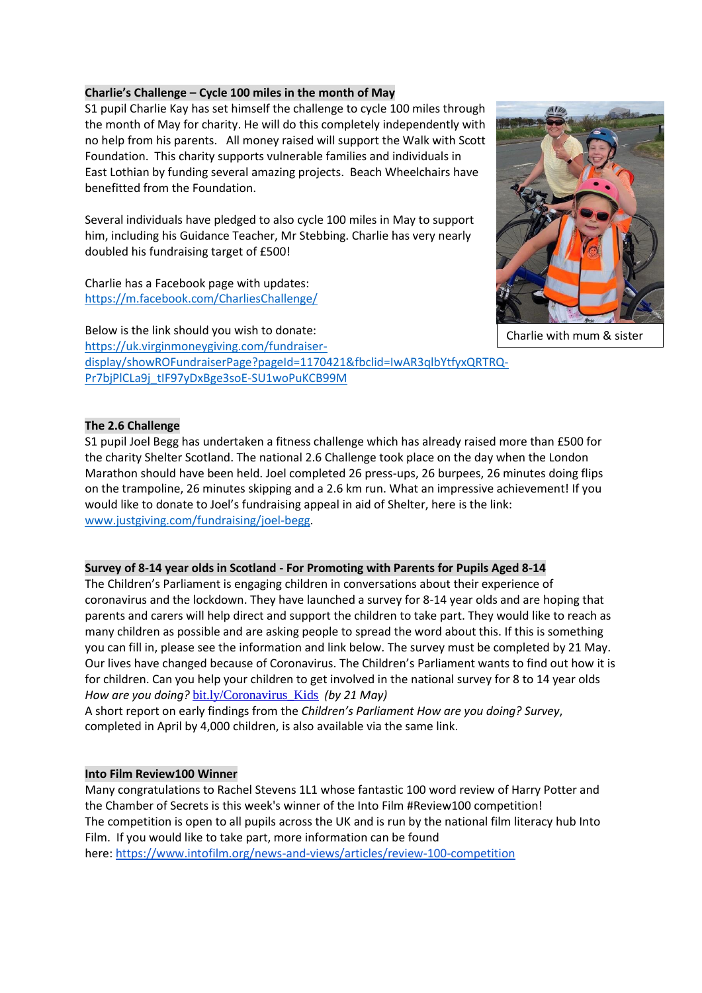## **Charlie's Challenge – Cycle 100 miles in the month of May**

S1 pupil Charlie Kay has set himself the challenge to cycle 100 miles through the month of May for charity. He will do this completely independently with no help from his parents. All money raised will support the Walk with Scott Foundation. This charity supports vulnerable families and individuals in East Lothian by funding several amazing projects. Beach Wheelchairs have benefitted from the Foundation.

Several individuals have pledged to also cycle 100 miles in May to support him, including his Guidance Teacher, Mr Stebbing. Charlie has very nearly doubled his fundraising target of £500!

Charlie has a Facebook page with updates: <https://m.facebook.com/CharliesChallenge/>

Charlie with mum & sister

Below is the link should you wish to donate: [https://uk.virginmoneygiving.com/fundraiser](https://uk.virginmoneygiving.com/fundraiser-%20%20%20%20display/showROFundraiserPage?pageId=1170421&fbclid=IwAR3qlbYtfyxQRTRQ-Pr7bjPlCLa9j_tIF97yDxBge3soE-SU1woPuKCB99M)[display/showROFundraiserPage?pageId=1170421&fbclid=IwAR3qlbYtfyxQRTRQ-](https://uk.virginmoneygiving.com/fundraiser-%20%20%20%20display/showROFundraiserPage?pageId=1170421&fbclid=IwAR3qlbYtfyxQRTRQ-Pr7bjPlCLa9j_tIF97yDxBge3soE-SU1woPuKCB99M)[Pr7bjPlCLa9j\\_tIF97yDxBge3soE-SU1woPuKCB99M](https://uk.virginmoneygiving.com/fundraiser-%20%20%20%20display/showROFundraiserPage?pageId=1170421&fbclid=IwAR3qlbYtfyxQRTRQ-Pr7bjPlCLa9j_tIF97yDxBge3soE-SU1woPuKCB99M)

## **The 2.6 Challenge**

S1 pupil Joel Begg has undertaken a fitness challenge which has already raised more than £500 for the charity Shelter Scotland. The national 2.6 Challenge took place on the day when the London Marathon should have been held. Joel completed 26 press-ups, 26 burpees, 26 minutes doing flips on the trampoline, 26 minutes skipping and a 2.6 km run. What an impressive achievement! If you would like to donate to Joel's fundraising appeal in aid of Shelter, here is the link: [www.justgiving.com/fundraising/joel-begg.](http://www.justgiving.com/fundraising/joel-begg)

## **Survey of 8-14 year olds in Scotland - For Promoting with Parents for Pupils Aged 8-14**

The Children's Parliament is engaging children in conversations about their experience of coronavirus and the lockdown. They have launched a survey for 8-14 year olds and are hoping that parents and carers will help direct and support the children to take part. They would like to reach as many children as possible and are asking people to spread the word about this. If this is something you can fill in, please see the information and link below. The survey must be completed by 21 May. Our lives have changed because of Coronavirus. The Children's Parliament wants to find out how it is for children. Can you help your children to get involved in the national survey for 8 to 14 year olds *How are you doing?* [bit.ly/Coronavirus\\_Kids](https://mail.elcschool.org.uk/owa/redir.aspx?C=kEcM-KdvFpZ_tdbCbewBq-sBISbLmNH6qfHSBcHb4kWE1aFY2vjXCA..&URL=https%3a%2f%2fwww.childrensparliament.org.uk%2four-work%2fchildren-and-coronavirus%2f) *(by 21 May)*

A short report on early findings from the *Children's Parliament How are you doing? Survey*, completed in April by 4,000 children, is also available via the same link.

# **Into Film Review100 Winner**

Many congratulations to Rachel Stevens 1L1 whose fantastic 100 word review of Harry Potter and the Chamber of Secrets is this week's winner of the Into Film #Review100 competition! The competition is open to all pupils across the UK and is run by the national film literacy hub Into Film. If you would like to take part, more information can be found here: <https://www.intofilm.org/news-and-views/articles/review-100-competition>